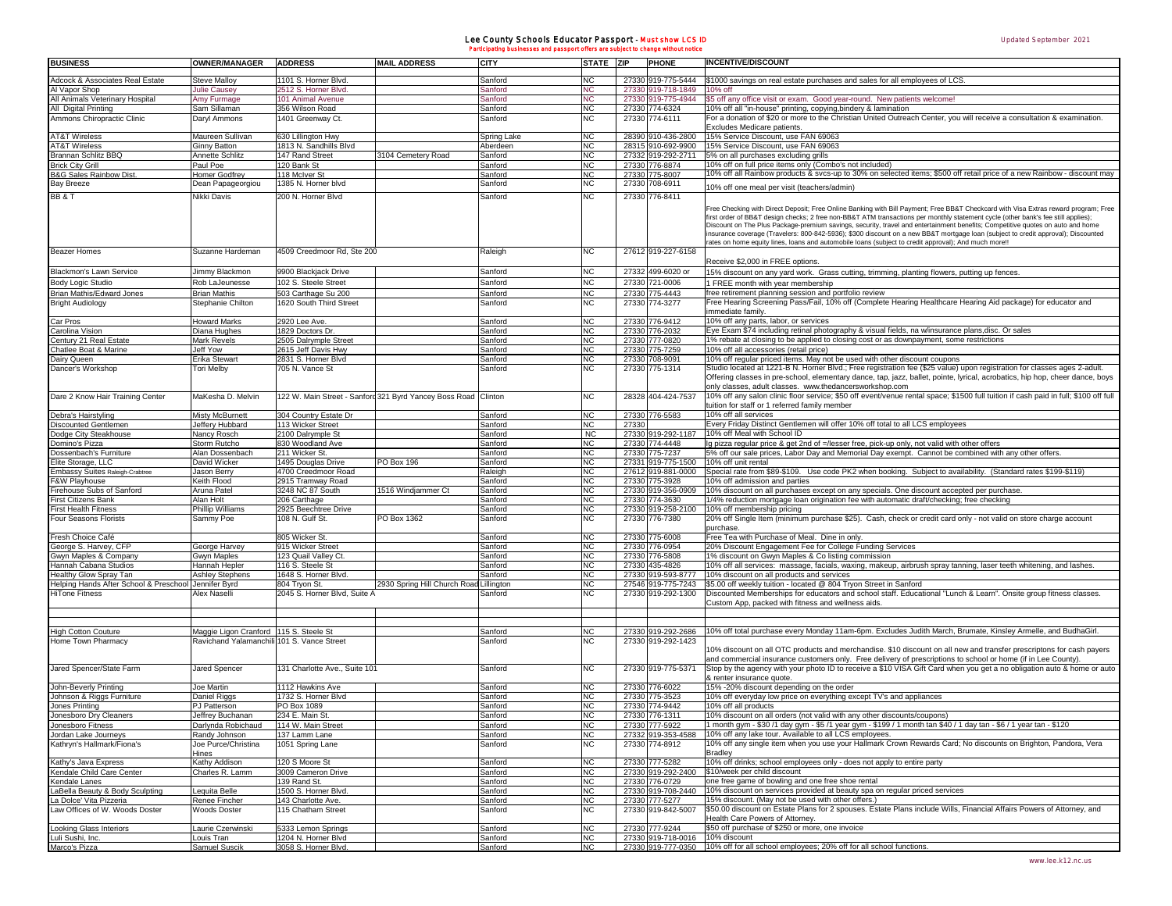## Lee County Schools Educator Passport - Must show LCS ID Participating businesses and passport offers are subject to change without notice

| <b>BUSINESS</b>                                         | <b>OWNER/MANAGER</b>                                                                 | <b>ADDRESS</b>                            | <b>MAIL ADDRESS</b>                                            | <b>CITY</b>        | <b>STATE</b>           | <b>ZIP</b> | <b>PHONE</b>                                      | <b>INCENTIVE/DISCOUNT</b>                                                                                                                                                                                                                                                                                                                                                                                  |
|---------------------------------------------------------|--------------------------------------------------------------------------------------|-------------------------------------------|----------------------------------------------------------------|--------------------|------------------------|------------|---------------------------------------------------|------------------------------------------------------------------------------------------------------------------------------------------------------------------------------------------------------------------------------------------------------------------------------------------------------------------------------------------------------------------------------------------------------------|
|                                                         |                                                                                      |                                           |                                                                |                    |                        |            |                                                   |                                                                                                                                                                                                                                                                                                                                                                                                            |
| Adcock & Associates Real Estate                         | <b>Steve Malloy</b>                                                                  | 1101 S. Horner Blvd.                      |                                                                | Sanford            | N <sub>C</sub>         |            | 27330 919-775-5444                                | \$1000 savings on real estate purchases and sales for all employees of LCS.                                                                                                                                                                                                                                                                                                                                |
| Al Vapor Shop                                           | Julie Causey                                                                         | 2512 S. Horner Blvd.<br>101 Animal Avenue |                                                                | Sanford            | <b>NC</b><br><b>NC</b> |            | 27330 919-718-1849<br>27330 919-775-4944          | 10% off<br>\$5 off any office visit or exam. Good year-round. New patients welcome!                                                                                                                                                                                                                                                                                                                        |
| All Animals Veterinary Hospital<br>All Digital Printing | Amy Furmage<br>Sam Sillaman                                                          | 356 Wilson Road                           |                                                                | Sanford<br>Sanford | <b>NC</b>              |            | 27330 774-6324                                    | 10% off all "in-house" printing, copying, bindery & lamination                                                                                                                                                                                                                                                                                                                                             |
| Ammons Chiropractic Clinic                              | Daryl Ammons                                                                         | 1401 Greenway Ct.                         |                                                                | Sanford            | N <sub>C</sub>         |            | 27330 774-6111                                    | For a donation of \$20 or more to the Christian United Outreach Center, you will receive a consultation & examination.                                                                                                                                                                                                                                                                                     |
|                                                         |                                                                                      |                                           |                                                                |                    |                        |            |                                                   | Excludes Medicare patients.                                                                                                                                                                                                                                                                                                                                                                                |
| <b>AT&amp;T Wireless</b>                                | Maureen Sullivan                                                                     | 630 Lillington Hwy                        |                                                                | Spring Lake        | <b>NC</b>              |            | 28390 910-436-2800                                | 15% Service Discount, use FAN 69063                                                                                                                                                                                                                                                                                                                                                                        |
| <b>AT&amp;T Wireless</b>                                | <b>Ginny Batton</b>                                                                  | 1813 N. Sandhills Blvd                    |                                                                | Aberdeen           | <b>NC</b>              |            | 28315 910-692-9900                                | 15% Service Discount, use FAN 69063                                                                                                                                                                                                                                                                                                                                                                        |
| Brannan Schlitz BBQ                                     | Annette Schlitz                                                                      | 147 Rand Street                           | 3104 Cemetery Road                                             | Sanford            | <b>NC</b>              |            | 27332 919-292-2711                                | 5% on all purchases excluding grills                                                                                                                                                                                                                                                                                                                                                                       |
| <b>Brick City Grill</b>                                 | Paul Poe                                                                             | 120 Bank St                               |                                                                | Sanford            | <b>NC</b>              |            | 27330 776-8874                                    | 10% off on full price items only (Combo's not included)                                                                                                                                                                                                                                                                                                                                                    |
| <b>B&amp;G Sales Rainbow Dist</b>                       | <b>Homer Godfrey</b>                                                                 | 118 McIver St                             |                                                                | <u>Sanford</u>     | <b>NC</b>              |            | 27330 775-8007                                    | 10% off all Rainbow products & svcs-up to 30% on selected items; \$500 off retail price of a new Rainbow - discount may                                                                                                                                                                                                                                                                                    |
| <b>Bay Breeze</b>                                       | Dean Papageorgiou                                                                    | 1385 N. Horner blvd                       |                                                                | Sanford            | <b>NC</b>              |            | 27330 708-6911                                    | 10% off one meal per visit (teachers/admin)                                                                                                                                                                                                                                                                                                                                                                |
| BB & T                                                  | Nikki Davis                                                                          | 200 N. Horner Blvd                        |                                                                | Sanford            | <b>NC</b>              |            | 27330 776-8411                                    |                                                                                                                                                                                                                                                                                                                                                                                                            |
|                                                         |                                                                                      |                                           |                                                                |                    |                        |            |                                                   | Free Checking with Direct Deposit; Free Online Banking with Bill Payment; Free BB&T Checkcard with Visa Extras reward program; Free<br>first order of BB&T design checks; 2 free non-BB&T ATM transactions per monthly statement cycle (other bank's fee still applies);<br>Discount on The Plus Package-premium savings, security, travel and entertainment benefits; Competitive quotes on auto and home |
|                                                         |                                                                                      |                                           |                                                                |                    |                        |            |                                                   | insurance coverage (Travelers: 800-842-5936); \$300 discount on a new BB&T mortgage loan (subject to credit approval); Discounted<br>rates on home equity lines, loans and automobile loans (subject to credit approval); And much more!!                                                                                                                                                                  |
| <b>Beazer Homes</b>                                     | Suzanne Hardeman                                                                     | 4509 Creedmoor Rd, Ste 200                |                                                                | Raleigh            | N <sub>C</sub>         |            | 27612 919-227-6158                                | Receive \$2,000 in FREE options.                                                                                                                                                                                                                                                                                                                                                                           |
| <b>Blackmon's Lawn Service</b>                          | Jimmy Blackmon                                                                       | 9900 Blackjack Drive                      |                                                                | Sanford            | N <sub>C</sub>         |            | 27332 499-6020 or                                 | 15% discount on any yard work. Grass cutting, trimming, planting flowers, putting up fences.                                                                                                                                                                                                                                                                                                               |
| Body Logic Studio                                       | Rob LaJeunesse                                                                       | 102 S. Steele Street                      |                                                                | Sanford            | <b>NC</b>              |            | 27330 721-0006                                    | 1 FREE month with year membership                                                                                                                                                                                                                                                                                                                                                                          |
| <b>Brian Mathis/Edward Jones</b>                        | <b>Brian Mathis</b>                                                                  | 503 Carthage Su 200                       |                                                                | Sanford            | <b>NC</b>              |            | 27330 775-4443                                    | free retirement planning session and portfolio review                                                                                                                                                                                                                                                                                                                                                      |
| <b>Bright Audiology</b>                                 | Stephanie Chilton                                                                    | 1620 South Third Street                   |                                                                | Sanford            | <b>NC</b>              |            | 27330 774-3277                                    | Free Hearing Screening Pass/Fail, 10% off (Complete Hearing Healthcare Hearing Aid package) for educator and                                                                                                                                                                                                                                                                                               |
|                                                         |                                                                                      |                                           |                                                                |                    | N <sub>C</sub>         |            |                                                   | immediate family.<br>10% off any parts, labor, or services                                                                                                                                                                                                                                                                                                                                                 |
| Car Pros<br>arolina Vision                              | <b>Howard Marks</b><br>Diana Hughes                                                  | 2920 Lee Ave.<br>1829 Doctors Dr.         |                                                                | Sanford<br>Sanford | <b>NC</b>              |            | 27330 776-9412<br>27330 776-2032                  | Eye Exam \$74 including retinal photography & visual fields, na w/insurance plans, disc. Or sales                                                                                                                                                                                                                                                                                                          |
| Century 21 Real Estate                                  | Mark Revels                                                                          | 2505 Dalrymple Street                     |                                                                | Sanford            | <b>NC</b>              |            | 27330 777-0820                                    | 1% rebate at closing to be applied to closing cost or as downpayment, some restrictions                                                                                                                                                                                                                                                                                                                    |
| Chatlee Boat & Marine                                   | Jeff Yow                                                                             | 2615 Jeff Davis Hwy                       |                                                                | Sanford            | <b>NC</b>              |            | 27330 775-7259                                    | 10% off all accessories (retail price)                                                                                                                                                                                                                                                                                                                                                                     |
| Dairy Queen                                             | Erika Stewart                                                                        | 2831 S. Horner Blvd                       |                                                                | Sanford            | <b>NC</b>              |            | 27330 708-9091                                    | 10% off regular priced items. May not be used with other discount coupons                                                                                                                                                                                                                                                                                                                                  |
| Dancer's Workshop                                       | Tori Melby                                                                           | 705 N. Vance St                           |                                                                | Sanford            | N <sub>C</sub>         |            | 27330 775-1314                                    | Studio located at 1221-B N. Horner Blvd.; Free registration fee (\$25 value) upon registration for classes ages 2-adult.                                                                                                                                                                                                                                                                                   |
|                                                         |                                                                                      |                                           |                                                                |                    |                        |            |                                                   | Offering classes in pre-school, elementary dance, tap, jazz, ballet, pointe, lyrical, acrobatics, hip hop, cheer dance, boys<br>only classes, adult classes. www.thedancersworkshop.com                                                                                                                                                                                                                    |
| Dare 2 Know Hair Training Center                        | MaKesha D. Melvin                                                                    |                                           | 122 W. Main Street - Sanford 321 Byrd Yancey Boss Road Clinton |                    | <b>NC</b>              |            | 28328 404-424-7537                                | 10% off any salon clinic floor service; \$50 off event/venue rental space; \$1500 full tuition if cash paid in full; \$100 off full<br>tuition for staff or 1 referred family member                                                                                                                                                                                                                       |
| Debra's Hairstyling                                     | Misty McBurnett                                                                      | 304 Country Estate Dr                     |                                                                | Sanford            | <b>NC</b>              |            | 27330 776-5583                                    | 10% off all services                                                                                                                                                                                                                                                                                                                                                                                       |
| Discounted Gentlemen                                    | Jeffery Hubbard                                                                      | 113 Wicker Street                         |                                                                | Sanford            | <b>NC</b>              | 27330      |                                                   | Every Friday Distinct Gentlemen will offer 10% off total to all LCS employees                                                                                                                                                                                                                                                                                                                              |
| Dodge City Steakhouse                                   | Nancy Rosch                                                                          | 2100 Dalrymple St                         |                                                                | Sanford            | N <sub>C</sub>         |            | 27330 919-292-1187                                | 10% off Meal with School ID<br>Ig pizza regular price & get 2nd of =/lesser free, pick-up only, not valid with other offers                                                                                                                                                                                                                                                                                |
| Domino's Pizza<br>Dossenbach's Furniture                | Storm Rutcho<br>Alan Dossenbach                                                      | 830 Woodland Ave<br>211 Wicker St.        |                                                                | Sanford<br>Sanford | <b>NC</b><br><b>NC</b> |            | 27330 774-4448<br>27330 775-7237                  | 5% off our sale prices, Labor Day and Memorial Day exempt. Cannot be combined with any other offers.                                                                                                                                                                                                                                                                                                       |
| Elite Storage, LLC                                      | David Wicker                                                                         | 1495 Douglas Drive                        | PO Box 196                                                     | Sanford            | <b>NC</b>              |            | 27331 919-775-1500                                | 10% off unit rental                                                                                                                                                                                                                                                                                                                                                                                        |
| Embassy Suites Raleigh-Crabtree                         | Jason Berry                                                                          | 4700 Creedmoor Road                       |                                                                | Raleigh            | <b>NC</b>              |            | 27612 919-881-0000                                | Special rate from \$89-\$109. Use code PK2 when booking. Subject to availability. (Standard rates \$199-\$119)                                                                                                                                                                                                                                                                                             |
| F&W Playhouse                                           | Keith Flood                                                                          | 2915 Tramway Road                         |                                                                | Sanford            | N <sub>C</sub>         |            | 27330 775-3928                                    | 10% off admission and parties                                                                                                                                                                                                                                                                                                                                                                              |
| irehouse Subs of Sanford                                | Aruna Patel                                                                          | 3248 NC 87 South                          | 1516 Windjammer Ct                                             | Sanford            | <b>NC</b>              |            | 27330 919-356-0909                                | 10% discount on all purchases except on any specials. One discount accepted per purchase.                                                                                                                                                                                                                                                                                                                  |
| irst Citizens Bank                                      | Alan Holt                                                                            | 206 Carthage                              |                                                                | Sanford            | N <sub>C</sub>         |            | 27330 774-3630                                    | 1/4% reduction mortgage loan origination fee with automatic draft/checking; free checking                                                                                                                                                                                                                                                                                                                  |
|                                                         |                                                                                      |                                           |                                                                | Sanford            | <b>NC</b>              |            | 27330 919-258-2100                                | 10% off membership pricing                                                                                                                                                                                                                                                                                                                                                                                 |
| irst Health Fitness                                     | Phillip Williams                                                                     | 2925 Beechtree Drive                      |                                                                |                    |                        |            |                                                   |                                                                                                                                                                                                                                                                                                                                                                                                            |
| Four Seasons Florists                                   | Sammy Poe                                                                            | 108 N. Gulf St.                           | PO Box 1362                                                    | Sanford            | N <sub>C</sub>         |            | 27330 776-7380                                    | 20% off Single Item (minimum purchase \$25). Cash, check or credit card only - not valid on store charge account                                                                                                                                                                                                                                                                                           |
|                                                         |                                                                                      |                                           |                                                                |                    |                        |            |                                                   | purchase.                                                                                                                                                                                                                                                                                                                                                                                                  |
| Fresh Choice Café                                       |                                                                                      | 805 Wicker St.                            |                                                                | Sanford            | <b>NC</b>              |            | 27330 775-6008                                    | Free Tea with Purchase of Meal. Dine in only                                                                                                                                                                                                                                                                                                                                                               |
| George S. Harvey, CFP                                   | George Harvey                                                                        | 915 Wicker Street<br>123 Quail Valley Ct. |                                                                | Sanford<br>Sanford | <b>NC</b>              |            | 27330 776-0954                                    | 20% Discount Engagement Fee for College Funding Services<br>1% discount on Gwyn Maples & Co listing commission                                                                                                                                                                                                                                                                                             |
| Gwyn Maples & Company<br>Iannah Cabana Studios          | Gwyn Maples<br>Hannah Hepler                                                         | 116 S. Steele St                          |                                                                | Sanford            | <b>NC</b><br><b>NC</b> |            | 27330 776-5808<br>27330 435-4826                  | 10% off all services: massage, facials, waxing, makeup, airbrush spray tanning, laser teeth whitening, and lashes.                                                                                                                                                                                                                                                                                         |
| lealthy Glow Spray Tan                                  | <b>Ashley Stephens</b>                                                               | 1648 S. Horner Blvd.                      |                                                                | Sanford            | <b>NC</b>              |            | 27330 919-593-8777                                | 10% discount on all products and services                                                                                                                                                                                                                                                                                                                                                                  |
| Helping Hands After School & Preschool                  | Jennifer Byrd                                                                        | 804 Tryon St.                             | 2930 Spring Hill Church Road                                   | Lillington         | <b>NC</b>              |            | 27546 919-775-7243                                | \$5.00 off weekly tuition - located @ 804 Tryon Street in Sanford                                                                                                                                                                                                                                                                                                                                          |
| HiTone Fitness                                          | <b>Alex Naselli</b>                                                                  | 2045 S. Horner Blvd, Suite A              |                                                                | Sanford            | N <sub>C</sub>         |            | 27330 919-292-1300                                | Discounted Memberships for educators and school staff. Educational "Lunch & Learn". Onsite group fitness classes.                                                                                                                                                                                                                                                                                          |
|                                                         |                                                                                      |                                           |                                                                |                    |                        |            |                                                   | Custom App, packed with fitness and wellness aids.                                                                                                                                                                                                                                                                                                                                                         |
|                                                         |                                                                                      |                                           |                                                                |                    |                        |            |                                                   |                                                                                                                                                                                                                                                                                                                                                                                                            |
| ligh Cotton Couture<br>Home Town Pharmacy               | Maggie Ligon Cranford 115 S. Steele St<br>Ravichand Yalamanchili 101 S. Vance Street |                                           |                                                                | Sanford<br>Sanford | <b>NC</b><br><b>NC</b> |            | 27330 919-292-2686<br>27330 919-292-1423          | 10% off total purchase every Monday 11am-6pm. Excludes Judith March, Brumate, Kinsley Armelle, and BudhaGirl.<br>10% discount on all OTC products and merchandise. \$10 discount on all new and transfer prescriptons for cash payers                                                                                                                                                                      |
| Jared Spencer/State Farm                                | Jared Spencer                                                                        | 131 Charlotte Ave., Suite 101             |                                                                | Sanford            | N <sub>C</sub>         |            | 27330 919-775-5371                                | and commercial insurance customers only. Free delivery of prescriptions to school or home (if in Lee County).<br>Stop by the agency with your photo ID to receive a \$10 VISA Gift Card when you get a no obligation auto & home or auto                                                                                                                                                                   |
|                                                         |                                                                                      |                                           |                                                                |                    |                        |            |                                                   | & renter insurance quote.                                                                                                                                                                                                                                                                                                                                                                                  |
| John-Beverly Printing                                   | Joe Martin                                                                           | 1112 Hawkins Ave                          |                                                                | Sanford            | <b>NC</b>              |            | 27330 776-6022                                    | 15% -20% discount depending on the order                                                                                                                                                                                                                                                                                                                                                                   |
| Johnson & Riggs Furniture                               | Daniel Riggs                                                                         | 1732 S. Horner Blvd                       |                                                                | Sanford            | <b>NC</b>              |            | 27330 775-3523                                    | 10% off everyday low price on everything except TV's and appliances                                                                                                                                                                                                                                                                                                                                        |
| Jones Printing                                          | PJ Patterson                                                                         | PO Box 1089                               |                                                                | Sanford            | N <sub>C</sub>         |            | 27330 774-9442                                    | 10% off all products                                                                                                                                                                                                                                                                                                                                                                                       |
| Jonesboro Dry Cleaners                                  | Jeffrey Buchanan                                                                     | 234 E. Main St                            |                                                                | Sanford            | <b>NC</b>              |            | 27330 776-1311                                    | 10% discount on all orders (not valid with any other discounts/coupons)                                                                                                                                                                                                                                                                                                                                    |
| Jonesboro Fitness                                       | Darlynda Robichaud<br>Randy Johnson                                                  | 114 W. Main Street<br>137 Lamm Lane       |                                                                | Sanford<br>Sanford | <b>NC</b>              |            | 27330 777-5922<br>27332 919-353-4588              | 1 month gym - \$30 /1 day gym - \$5 /1 year gym - \$199 / 1 month tan \$40 / 1 day tan - \$6 / 1 year tan - \$120                                                                                                                                                                                                                                                                                          |
| Jordan Lake Journeys<br>Kathryn's Hallmark/Fiona's      | Joe Purce/Christina<br>Hines                                                         | 1051 Spring Lane                          |                                                                | Sanford            | <b>NC</b><br><b>NC</b> |            | 27330 774-8912                                    | 10% off any lake tour. Available to all LCS employees.<br>10% off any single item when you use your Hallmark Crown Rewards Card; No discounts on Brighton, Pandora, Vera<br>Bradley                                                                                                                                                                                                                        |
| Kathy's Java Express                                    | Kathy Addison                                                                        | 120 S Moore St                            |                                                                | Sanford            | <b>NC</b>              |            | 27330 777-5282                                    | 10% off drinks; school employees only - does not apply to entire party                                                                                                                                                                                                                                                                                                                                     |
| Kendale Child Care Center                               | Charles R. Lamm                                                                      | 3009 Cameron Drive                        |                                                                | Sanford            | <b>NC</b>              |            | 27330 919-292-2400                                | \$10/week per child discount                                                                                                                                                                                                                                                                                                                                                                               |
| Kendale Lanes                                           |                                                                                      | 139 Rand St.                              |                                                                | Sanford            | <b>NC</b>              |            | 27330 776-0729                                    | one free game of bowling and one free shoe rental                                                                                                                                                                                                                                                                                                                                                          |
| LaBella Beauty & Body Sculpting                         | Lequita Belle                                                                        | 1500 S. Horner Blvd.                      |                                                                | Sanford            | <b>NC</b>              |            | 27330 919-708-2440                                | 10% discount on services provided at beauty spa on regular priced services                                                                                                                                                                                                                                                                                                                                 |
| La Dolce' Vita Pizzeria                                 | Renee Fincher                                                                        | 143 Charlotte Ave.                        |                                                                | Sanford            | <b>NC</b>              |            | 27330 777-5277                                    | 15% discount. (May not be used with other offers.)                                                                                                                                                                                                                                                                                                                                                         |
| Law Offices of W. Woods Doster                          | <b>Woods Doster</b>                                                                  | 115 Chatham Street                        |                                                                | Sanford            | <b>NC</b>              |            | 27330 919-842-5007                                | \$50.00 discount on Estate Plans for 2 spouses. Estate Plans include Wills, Financial Affairs Powers of Attorney, and<br>Health Care Powers of Attorney.                                                                                                                                                                                                                                                   |
| Looking Glass Interiors<br>Luli Sushi, Inc.             | Laurie Czerwinski<br>Louis Tran                                                      | 5333 Lemon Springs<br>1204 N. Horner Blvd |                                                                | Sanford<br>Sanford | <b>NC</b><br><b>NC</b> |            | 27330 777-9244<br>27330 919-718-0016 10% discount | \$50 off purchase of \$250 or more, one invoice                                                                                                                                                                                                                                                                                                                                                            |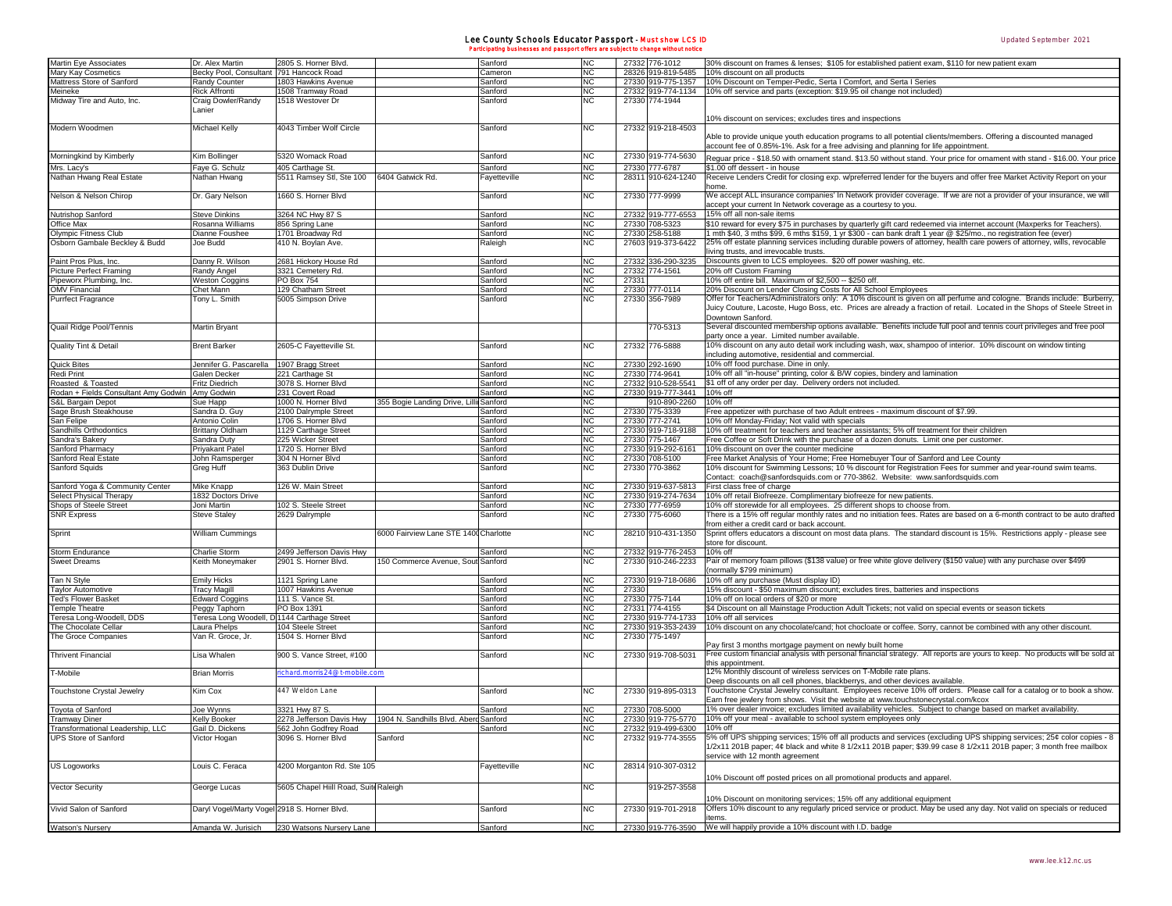## Lee County Schools Educator Passport - Must show LCS ID Participating businesses and passport offers are subject to change without notice

| Martin Eye Associates                           | Dr. Alex Martin                              | 2805 S. Horner Blvd                                  |                                        | Sanford      | <b>NC</b> |       | 27332 776-1012             | 30% discount on frames & lenses; \$105 for established patient exam, \$110 for new patient exam                                                                                                                                                                                      |
|-------------------------------------------------|----------------------------------------------|------------------------------------------------------|----------------------------------------|--------------|-----------|-------|----------------------------|--------------------------------------------------------------------------------------------------------------------------------------------------------------------------------------------------------------------------------------------------------------------------------------|
|                                                 |                                              |                                                      |                                        |              |           |       |                            |                                                                                                                                                                                                                                                                                      |
| Mary Kay Cosmetics                              | Becky Pool, Consultant 791 Hancock Road      |                                                      |                                        | Cameron      | <b>NC</b> |       | 28326 919-819-5485         | 10% discount on all products                                                                                                                                                                                                                                                         |
| Mattress Store of Sanford                       | Randy Counter                                | 1803 Hawkins Avenue                                  |                                        | Sanford      | <b>NC</b> |       |                            | 27330 919-775-1357 10% Discount on Temper-Pedic, Serta I Comfort, and Serta I Series                                                                                                                                                                                                 |
| Meineke                                         | <b>Rick Affronti</b>                         | 1508 Tramway Road                                    |                                        | Sanford      | <b>NC</b> |       |                            | 27332 919-774-1134 10% off service and parts (exception: \$19.95 oil change not included)                                                                                                                                                                                            |
| Midway Tire and Auto, Inc.                      | Craig Dowler/Randy                           | 1518 Westover Dr                                     |                                        | Sanford      | NC        |       | 27330 774-1944             |                                                                                                                                                                                                                                                                                      |
|                                                 | Lanier                                       |                                                      |                                        |              |           |       |                            |                                                                                                                                                                                                                                                                                      |
|                                                 |                                              |                                                      |                                        |              |           |       |                            | 10% discount on services; excludes tires and inspections                                                                                                                                                                                                                             |
| Modern Woodmen                                  | Michael Kelly                                | 4043 Timber Wolf Circle                              |                                        | Sanford      | NC        |       | 27332 919-218-4503         | Able to provide unique youth education programs to all potential clients/members. Offering a discounted managed<br>account fee of 0.85%-1%. Ask for a free advising and planning for life appointment.                                                                               |
| Morningkind by Kimberly                         |                                              | 5320 Womack Road                                     |                                        | Sanford      | NC        |       | 27330 919-774-5630         |                                                                                                                                                                                                                                                                                      |
|                                                 | Kim Bollinger                                |                                                      |                                        |              |           |       |                            | Reguar price - \$18.50 with ornament stand. \$13.50 without stand. Your price for ornament with stand - \$16.00. Your price                                                                                                                                                          |
| Mrs. Lacy's                                     | Faye G. Schulz                               | 405 Carthage St                                      |                                        | Sanford      | NC        |       | 27330 777-6787             | \$1.00 off dessert - in house                                                                                                                                                                                                                                                        |
| Nathan Hwang Real Estate                        | Nathan Hwang                                 | 5511 Ramsey Stl, Ste 100                             | 6404 Gatwick Rd.                       | Fayetteville | NC        |       | 28311 910-624-1240         | Receive Lenders Credit for closing exp. w/preferred lender for the buyers and offer free Market Activity Report on your<br>home                                                                                                                                                      |
| Nelson & Nelson Chirop                          | Dr. Gary Nelson                              | 1660 S. Horner Blvd                                  |                                        | Sanford      | <b>NC</b> |       | 27330 777-9999             | We accept ALL insurance companies' In Network provider coverage. If we are not a provider of your insurance, we will<br>accept your current In Network coverage as a courtesy to you.                                                                                                |
| Nutrishop Sanford                               | <b>Steve Dinkins</b>                         | 3264 NC Hwy 87 S                                     |                                        | Sanford      | <b>NC</b> |       | 27332 919-777-6553         | 15% off all non-sale items                                                                                                                                                                                                                                                           |
| Office Max                                      | Rosanna Williams                             | 856 Spring Lane                                      |                                        | Sanford      | <b>NC</b> |       | 27330 708-5323             | \$10 reward for every \$75 in purchases by quarterly gift card redeemed via internet account (Maxperks for Teachers).                                                                                                                                                                |
|                                                 | Dianne Foushee                               | 1701 Broadway Rd                                     |                                        |              | <b>NC</b> |       | 27330 258-5188             | 1 mth \$40, 3 mths \$99, 6 mths \$159, 1 yr \$300 - can bank draft 1 year @ \$25/mo., no registration fee (ever)                                                                                                                                                                     |
| Olympic Fitness Club                            |                                              |                                                      |                                        | Sanford      |           |       |                            |                                                                                                                                                                                                                                                                                      |
| Osborn Gambale Beckley & Budd                   | Joe Budd                                     | 410 N. Boylan Ave.                                   |                                        | Raleigh      | NC        |       | 27603 919-373-6422         | 25% off estate planning services including durable powers of attorney, health care powers of attorney, wills, revocable<br>living trusts, and irrevocable trusts.                                                                                                                    |
|                                                 |                                              | 2681 Hickory House Rd                                |                                        |              |           |       | 27332 336-290-3235         | Discounts given to LCS employees. \$20 off power washing, etc.                                                                                                                                                                                                                       |
| Paint Pros Plus, Inc.                           | Danny R. Wilson                              |                                                      |                                        | Sanford      | NC        |       |                            |                                                                                                                                                                                                                                                                                      |
| <b>Picture Perfect Framing</b>                  | Randy Angel                                  | 3321 Cemetery Rd.                                    |                                        | Sanford      | NC        |       | 27332 774-1561             | 20% off Custom Framing                                                                                                                                                                                                                                                               |
| Pipeworx Plumbing, Inc.                         | <b>Weston Coggins</b>                        | PO Box 754                                           |                                        | Sanford      | NC        | 27331 |                            | 10% off entire bill. Maximum of \$2,500 -- \$250 off.                                                                                                                                                                                                                                |
| <b>OMV Financial</b>                            | Chet Mann                                    | 129 Chatham Street                                   |                                        | Sanford      | NC        |       | 27330 777-0114             | 20% Discount on Lender Closing Costs for All School Employees                                                                                                                                                                                                                        |
| Purrfect Fragrance                              | Tony L. Smith                                | 5005 Simpson Drive                                   |                                        | Sanford      | NC        |       | 27330 356-7989             | Offer for Teachers/Administrators only: A 10% discount is given on all perfume and cologne. Brands include: Burberry,                                                                                                                                                                |
|                                                 |                                              |                                                      |                                        |              |           |       |                            | Juicy Couture, Lacoste, Hugo Boss, etc. Prices are already a fraction of retail. Located in the Shops of Steele Street in<br>Downtown Sanford.                                                                                                                                       |
| Quail Ridge Pool/Tennis                         | Martin Bryant                                |                                                      |                                        |              |           |       | 770-5313                   | Several discounted membership options available. Benefits include full pool and tennis court privileges and free pool<br>party once a year. Limited number available.                                                                                                                |
| Quality Tint & Detail                           | <b>Brent Barker</b>                          | 2605-C Fayetteville St.                              |                                        | Sanford      | NC        |       | 27332 776-5888             | 10% discount on any auto detail work including wash, wax, shampoo of interior. 10% discount on window tinting<br>including automotive, residential and commercial.                                                                                                                   |
| <b>Quick Bites</b>                              | Jennifer G. Pascarella   1907 Bragg Street   |                                                      |                                        | Sanford      | <b>NC</b> |       | 27330 292-1690             | 10% off food purchase. Dine in only.                                                                                                                                                                                                                                                 |
|                                                 |                                              |                                                      |                                        |              |           |       |                            |                                                                                                                                                                                                                                                                                      |
| Redi Print                                      | Galen Decker                                 | 221 Carthage St                                      |                                        | Sanford      | <b>NC</b> |       | 27330 774-9641             | 10% off all "in-house" printing, color & B/W copies, bindery and lamination                                                                                                                                                                                                          |
| Roasted & Toasted                               | Fritz Diedrich                               | 3078 S. Horner Blvd                                  |                                        | Sanford      | <b>NC</b> |       | 27332 910-528-5541         | \$1 off of any order per day. Delivery orders not included.                                                                                                                                                                                                                          |
| Rodan + Fields Consultant Amy Godwin Amy Godwin |                                              | 231 Covert Road                                      |                                        | Sanford      | <b>NC</b> |       | 27330 919-777-3441         | 10% off                                                                                                                                                                                                                                                                              |
| S&L Bargain Depot                               | Sue Happ                                     | 1000 N. Horner Blvd                                  | 355 Bogie Landing Drive, Lilli Sanford |              | <b>NC</b> |       | 910-890-2260               | 10% off                                                                                                                                                                                                                                                                              |
| Sage Brush Steakhouse                           | Sandra D. Guy                                | 2100 Dalrymple Street                                |                                        | Sanford      | <b>NC</b> |       | 27330 775-3339             | Free appetizer with purchase of two Adult entrees - maximum discount of \$7.99.                                                                                                                                                                                                      |
|                                                 |                                              |                                                      |                                        |              |           |       |                            |                                                                                                                                                                                                                                                                                      |
| San Felipe                                      | Antonio Colin                                | 1706 S. Horner Blvd                                  |                                        | Sanford      | <b>NC</b> |       | 27330 777-2741             | 10% off Monday-Friday; Not valid with specials                                                                                                                                                                                                                                       |
| Sandhills Orthodontics                          | <b>Brittany Oldham</b>                       | 1129 Carthage Street                                 |                                        | Sanford      | <b>NC</b> |       | 27330 919-718-9188         | 10% off treatment for teachers and teacher assistants; 5% off treatment for their children                                                                                                                                                                                           |
| Sandra's Bakery                                 | Sandra Duty                                  | 225 Wicker Street                                    |                                        | Sanford      | NC        |       | 27330 775-1467             | Free Coffee or Soft Drink with the purchase of a dozen donuts. Limit one per customer.                                                                                                                                                                                               |
| Sanford Pharmacy                                | <b>Privakant Patel</b>                       | 1720 S. Horner Blvd                                  |                                        | Sanford      | NC        |       | 27330 919-292-616          | 10% discount on over the counter medicine                                                                                                                                                                                                                                            |
| Sanford Real Estate                             | John Ramsperger                              | 304 N Horner Blvd                                    |                                        | Sanford      | <b>NC</b> |       | 27330 708-5100             | Free Market Analysis of Your Home; Free Homebuyer Tour of Sanford and Lee County                                                                                                                                                                                                     |
| Sanford Squids                                  | Greg Huff                                    | 363 Dublin Drive                                     |                                        | Sanford      | NC        |       | 27330 770-3862             | 10% discount for Swimming Lessons; 10 % discount for Registration Fees for summer and year-round swim teams.<br>Contact: coach@sanfordsquids.com or 770-3862. Website: www.sanfordsquids.com                                                                                         |
| Sanford Yoga & Community Center                 | Mike Knapp                                   | 126 W. Main Street                                   |                                        | Sanford      | <b>NC</b> |       | 27330 919-637-5813         | First class free of charge                                                                                                                                                                                                                                                           |
|                                                 |                                              |                                                      |                                        |              |           |       |                            |                                                                                                                                                                                                                                                                                      |
| Select Physical Therapy                         | 1832 Doctors Drive                           |                                                      |                                        | Sanford      | <b>NC</b> |       | 27330 919-274-7634         | 10% off retail Biofreeze. Complimentary biofreeze for new patients.                                                                                                                                                                                                                  |
| Shops of Steele Street                          | Joni Martin                                  | 102 S. Steele Street                                 |                                        | Sanford      | NC        |       | 27330 777-6959             | 10% off storewide for all employees. 25 different shops to choose from.                                                                                                                                                                                                              |
| <b>SNR Express</b>                              | <b>Steve Staley</b>                          | 2629 Dalrymple                                       |                                        | Sanford      | NC        |       | 27330 775-6060             | There is a 15% off regular monthly rates and no initiation fees. Rates are based on a 6-month contract to be auto drafted<br>from either a credit card or back account.                                                                                                              |
| Sprint                                          | William Cummings                             |                                                      | 6000 Fairview Lane STE 1400 Charlotte  |              | NC        |       | 28210 910-431-1350         | Sprint offers educators a discount on most data plans. The standard discount is 15%. Restrictions apply - please see<br>store for discount.                                                                                                                                          |
|                                                 |                                              |                                                      |                                        |              | <b>NC</b> |       | 27332 919-776-2453         | 10% off                                                                                                                                                                                                                                                                              |
| Storm Endurance<br><b>Sweet Dreams</b>          | Charlie Storm<br>Keith Moneymaker            | 2499 Jefferson Davis Hwy<br>2901 S. Horner Blvd.     | 150 Commerce Avenue, Sout Sanford      | Sanford      | NC        |       | 27330 910-246-2233         | Pair of memory foam pillows (\$138 value) or free white glove delivery (\$150 value) with any purchase over \$499<br>(normally \$799 minimum)                                                                                                                                        |
| Tan N Style                                     | <b>Emily Hicks</b>                           | 1121 Spring Lane                                     |                                        | Sanford      | <b>NC</b> |       | 27330 919-718-0686         | 10% off any purchase (Must display ID)                                                                                                                                                                                                                                               |
|                                                 |                                              |                                                      |                                        |              |           |       |                            |                                                                                                                                                                                                                                                                                      |
| <b>Taylor Automotive</b>                        | <b>Tracy Magill</b>                          | 1007 Hawkins Avenue                                  |                                        | Sanford      | NC        | 27330 |                            | 15% discount - \$50 maximum discount; excludes tires, batteries and inspections                                                                                                                                                                                                      |
| Ted's Flower Basket                             | <b>Edward Coggins</b>                        | 111 S. Vance St.                                     |                                        | Sanford      | <b>NC</b> |       | 27330 775-7144             | 10% off on local orders of \$20 or more                                                                                                                                                                                                                                              |
| <b>Temple Theatre</b>                           | Peggy Taphorn                                | PO Box 1391                                          |                                        | Sanford      | NC        |       | 27331 774-4155             | \$4 Discount on all Mainstage Production Adult Tickets; not valid on special events or season tickets                                                                                                                                                                                |
| Teresa Long-Woodell, DDS                        | Teresa Long Woodell, D 1144 Carthage Street  |                                                      |                                        | Sanford      | NC        |       | 27330 919-774-1733         | 10% off all services                                                                                                                                                                                                                                                                 |
| The Chocolate Cellar                            | Laura Phelps                                 | 104 Steele Street                                    |                                        | Sanford      | <b>NC</b> |       | 27330 919-353-2439         | 10% discount on any chocolate/cand; hot chocloate or coffee. Sorry, cannot be combined with any other discount.                                                                                                                                                                      |
| The Groce Companies                             | Van R. Groce, Jr.                            | 1504 S. Horner Blvd                                  |                                        | Sanford      | NC        |       | 27330 775-1497             |                                                                                                                                                                                                                                                                                      |
|                                                 | Lisa Whalen                                  |                                                      |                                        |              | <b>NC</b> |       |                            | Pay first 3 months mortgage payment on newly built home<br>Free custom financial analysis with personal financial strategy. All reports are yours to keep. No products will be sold at                                                                                               |
| <b>Thrivent Financial</b>                       |                                              | 900 S. Vance Street, #100                            |                                        | Sanford      |           |       | 27330 919-708-5031         | this appointment.<br>12% Monthly discount of wireless services on T-Mobile rate plans.                                                                                                                                                                                               |
| T-Mobile                                        | <b>Brian Morris</b>                          | ichard.morris24@t-mobile.com                         |                                        |              |           |       |                            | Deep discounts on all cell phones, blackberrys, and other devices available.                                                                                                                                                                                                         |
| Touchstone Crystal Jewelry                      | Kim Cox                                      | 447 Weldon Lane                                      |                                        | Sanford      | NC        |       | 27330 919-895-0313         | Touchstone Crystal Jewelry consultant. Employees receive 10% off orders. Please call for a catalog or to book a show.<br>Earn free jewlery from shows. Visit the website at www.touchstonecrystal.com/kcox                                                                           |
| Toyota of Sanford                               | Joe Wynns                                    | 3321 Hwy 87 S.                                       |                                        | Sanford      | <b>NC</b> |       | 27330 708-5000             | 1% over dealer invoice; excludes limited availability vehicles. Subject to change based on market availability.                                                                                                                                                                      |
| ramway Dıner                                    | <b>Kelly Booker</b>                          | 2278 Jefferson Davis Hwy 1904 N. Sandhills Blvd. Abe |                                        | anford       | NC        | 27330 | 919-775-5770               | 10% off your meal - available to school system emplo                                                                                                                                                                                                                                 |
| Transformational Leadership, LLC                | Gail D. Dickens                              | 562 John Godfrey Road                                |                                        | Sanford      | NC        |       | 27332 919-499-6300 10% off |                                                                                                                                                                                                                                                                                      |
| <b>UPS Store of Sanford</b>                     | Victor Hogan                                 | 3096 S. Horner Blvd                                  | Sanford                                |              | NC        |       | 27332 919-774-3555         | 5% off UPS shipping services; 15% off all products and services (excluding UPS shipping services; 25¢ color copies - 8<br>$1/2x11$ 201B paper: 4¢ black and white 8 $1/2x11$ 201B paper: \$39.99 case 8 $1/2x11$ 201B paper: 3 month free mailbox<br>service with 12 month agreement |
| US Logoworks                                    | Louis C. Feraca                              | 4200 Morganton Rd. Ste 105                           |                                        | Fayetteville | NC        |       | 28314 910-307-0312         |                                                                                                                                                                                                                                                                                      |
| Vector Security                                 | George Lucas                                 | 5605 Chapel Hiill Road, Suite Raleigh                |                                        |              | NC        |       | 919-257-3558               | 10% Discount off posted prices on all promotional products and apparel                                                                                                                                                                                                               |
| Vivid Salon of Sanford                          | Daryl Vogel/Marty Vogel 2918 S. Horner Blvd. |                                                      |                                        | Sanford      | NC        |       | 27330 919-701-2918         | 10% Discount on monitoring services; 15% off any additional equipment<br>Offers 10% discount to any regularly priced service or product. May be used any day. Not valid on specials or reduced                                                                                       |
| Watson's Nursery                                | Amanda W. Jurisich                           | 230 Watsons Nursery Lane                             |                                        | Sanford      | <b>NC</b> |       | 27330 919-776-3590         | items<br>We will happily provide a 10% discount with I.D. badge                                                                                                                                                                                                                      |
|                                                 |                                              |                                                      |                                        |              |           |       |                            |                                                                                                                                                                                                                                                                                      |